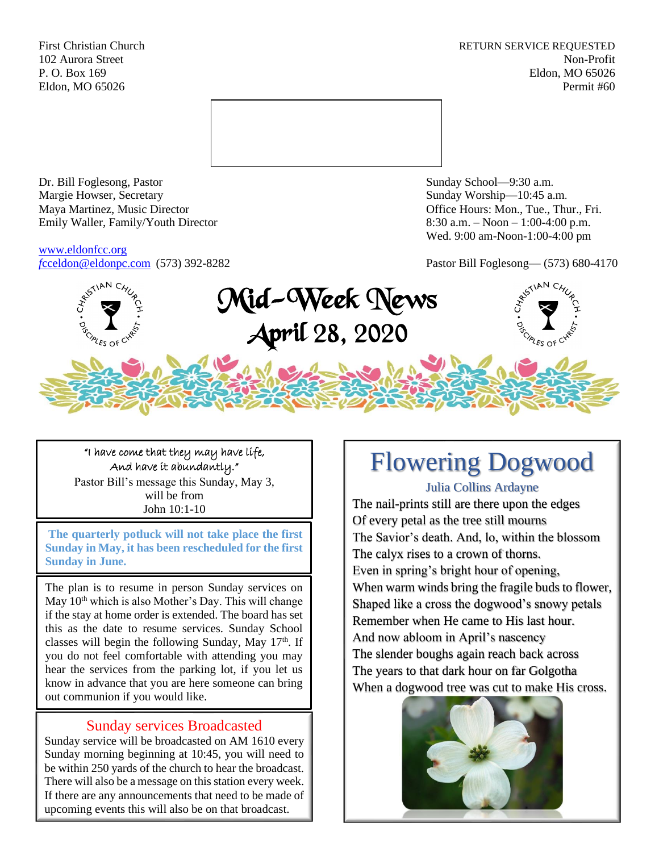First Christian Church **RETURN SERVICE REQUESTED** 102 Aurora Street Non-Profit P. O. Box 169 Eldon, MO 65026 Eldon, MO 65026 Permit #60



Dr. Bill Foglesong, Pastor Sunday School—9:30 a.m. Margie Howser, Secretary Sunday Worship—10:45 a.m. Maya Martinez, Music Director Office Hours: Mon., Tue., Thur., Fri. Emily Waller, Family/Youth Director 8:30 a.m. – Noon – 1:00-4:00 p.m.

[www.eldonfcc.org](http://www.eldonfcc.org/)

Wed. 9:00 am-Noon-1:00-4:00 pm

*f*[cceldon@eldonpc.com](mailto:fcceldon@eldonpc.com) (573) 392-8282 Pastor Bill Foglesong— (573) 680-4170



"I have come that they may have life, And have it abundantly." Pastor Bill's message this Sunday, May 3, will be from John 10:1-10

**The quarterly potluck will not take place the first Sunday in May, it has been rescheduled for the first Sunday in June.**

The plan is to resume in person Sunday services on May  $10<sup>th</sup>$  which is also Mother's Day. This will change if the stay at home order is extended. The board has set this as the date to resume services. Sunday School classes will begin the following Sunday, May  $17<sup>th</sup>$ . If you do not feel comfortable with attending you may hear the services from the parking lot, if you let us know in advance that you are here someone can bring out communion if you would like.

## Sunday services Broadcasted

Sunday service will be broadcasted on AM 1610 every Sunday morning beginning at 10:45, you will need to be within 250 yards of the church to hear the broadcast. There will also be a message on this station every week. If there are any announcements that need to be made of upcoming events this will also be on that broadcast.

# Flowering Dogwood

Julia Collins Ardayne

The nail-prints still are there upon the edges Of every petal as the tree still mourns The Savior's death. And, lo, within the blossom The calyx rises to a crown of thorns. Even in spring's bright hour of opening, When warm winds bring the fragile buds to flower, Shaped like a cross the dogwood's snowy petals Remember when He came to His last hour. And now abloom in April's nascency The slender boughs again reach back across The years to that dark hour on far Golgotha When a dogwood tree was cut to make His cross.